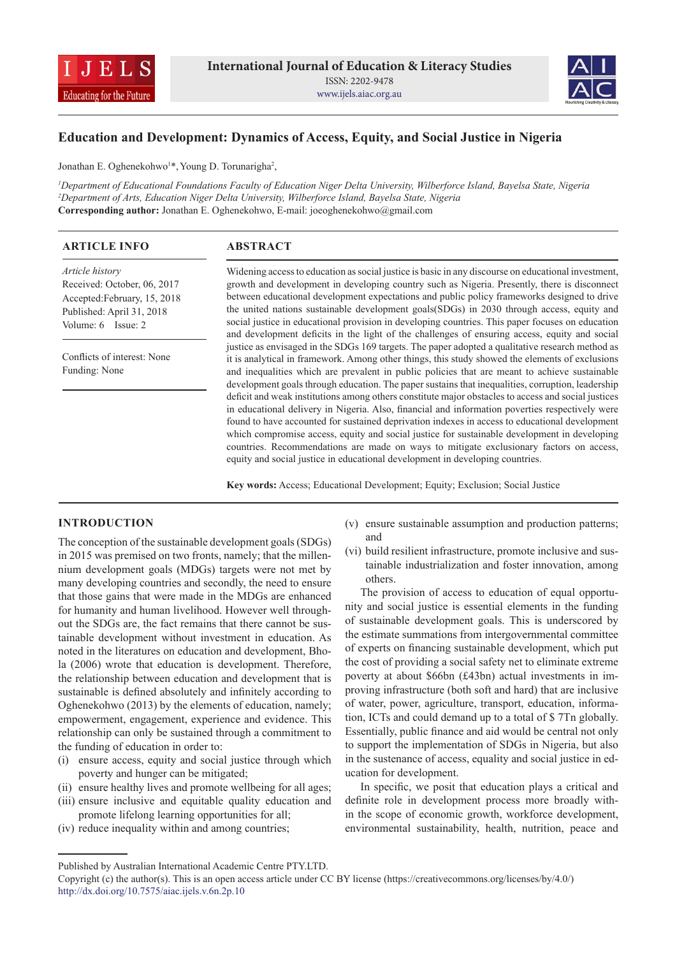



# **Education and Development: Dynamics of Access, Equity, and Social Justice in Nigeria**

Jonathan E. Oghenekohwo<sup>1\*</sup>, Young D. Torunarigha<sup>2</sup>,

*1 Department of Educational Foundations Faculty of Education Niger Delta University, Wilberforce Island, Bayelsa State, Nigeria 2 Department of Arts, Education Niger Delta University, Wilberforce Island, Bayelsa State, Nigeria* **Corresponding author:** Jonathan E. Oghenekohwo, E-mail: joeoghenekohwo@gmail.com

| <b>ARTICLE INFO</b>                          | <b>ABSTRACT</b>                                                                                     |
|----------------------------------------------|-----------------------------------------------------------------------------------------------------|
| Article history                              | Widening access to education as social justice is basic in any discourse on educational investment, |
| Received: October, 06, 2017                  | growth and development in developing country such as Nigeria. Presently, there is disconnect        |
| Accepted:February, 15, 2018                  | between educational development expectations and public policy frameworks designed to drive         |
| Published: April 31, 2018                    | the united nations sustainable development goals(SDGs) in 2030 through access, equity and           |
| Volume: $6$ Issue: $2$                       | social justice in educational provision in developing countries. This paper focuses on education    |
|                                              | and development deficits in the light of the challenges of ensuring access, equity and social       |
| Conflicts of interest: None<br>Funding: None | justice as envisaged in the SDGs 169 targets. The paper adopted a qualitative research method as    |
|                                              | it is analytical in framework. Among other things, this study showed the elements of exclusions     |
|                                              | and inequalities which are prevalent in public policies that are meant to achieve sustainable       |
|                                              | development goals through education. The paper sustains that inequalities, corruption, leadership   |
|                                              | deficit and weak institutions among others constitute major obstacles to access and social justices |
|                                              | in educational delivery in Nigeria. Also, financial and information poverties respectively were     |
|                                              | found to have accounted for sustained deprivation indexes in access to educational development      |
|                                              | which compromise access, equity and social justice for sustainable development in developing        |
|                                              | countries. Recommendations are made on ways to mitigate exclusionary factors on access,             |
|                                              | equity and social justice in educational development in developing countries.                       |

**Key words:** Access; Educational Development; Equity; Exclusion; Social Justice

### **INTRODUCTION**

The conception of the sustainable development goals (SDGs) in 2015 was premised on two fronts, namely; that the millennium development goals (MDGs) targets were not met by many developing countries and secondly, the need to ensure that those gains that were made in the MDGs are enhanced for humanity and human livelihood. However well throughout the SDGs are, the fact remains that there cannot be sustainable development without investment in education. As noted in the literatures on education and development, Bhola (2006) wrote that education is development. Therefore, the relationship between education and development that is sustainable is defined absolutely and infinitely according to Oghenekohwo (2013) by the elements of education, namely; empowerment, engagement, experience and evidence. This relationship can only be sustained through a commitment to the funding of education in order to:

- (i) ensure access, equity and social justice through which poverty and hunger can be mitigated;
- (ii) ensure healthy lives and promote wellbeing for all ages; (iii) ensure inclusive and equitable quality education and
- promote lifelong learning opportunities for all; (iv) reduce inequality within and among countries;
- (v) ensure sustainable assumption and production patterns; and
- (vi) build resilient infrastructure, promote inclusive and sustainable industrialization and foster innovation, among others.

The provision of access to education of equal opportunity and social justice is essential elements in the funding of sustainable development goals. This is underscored by the estimate summations from intergovernmental committee of experts on financing sustainable development, which put the cost of providing a social safety net to eliminate extreme poverty at about \$66bn (£43bn) actual investments in improving infrastructure (both soft and hard) that are inclusive of water, power, agriculture, transport, education, information, ICTs and could demand up to a total of \$ 7Tn globally. Essentially, public finance and aid would be central not only to support the implementation of SDGs in Nigeria, but also in the sustenance of access, equality and social justice in education for development.

In specific, we posit that education plays a critical and definite role in development process more broadly within the scope of economic growth, workforce development, environmental sustainability, health, nutrition, peace and

Published by Australian International Academic Centre PTY.LTD.

Copyright (c) the author(s). This is an open access article under CC BY license (https://creativecommons.org/licenses/by/4.0/) http://dx.doi.org/10.7575/aiac.ijels.v.6n.2p.10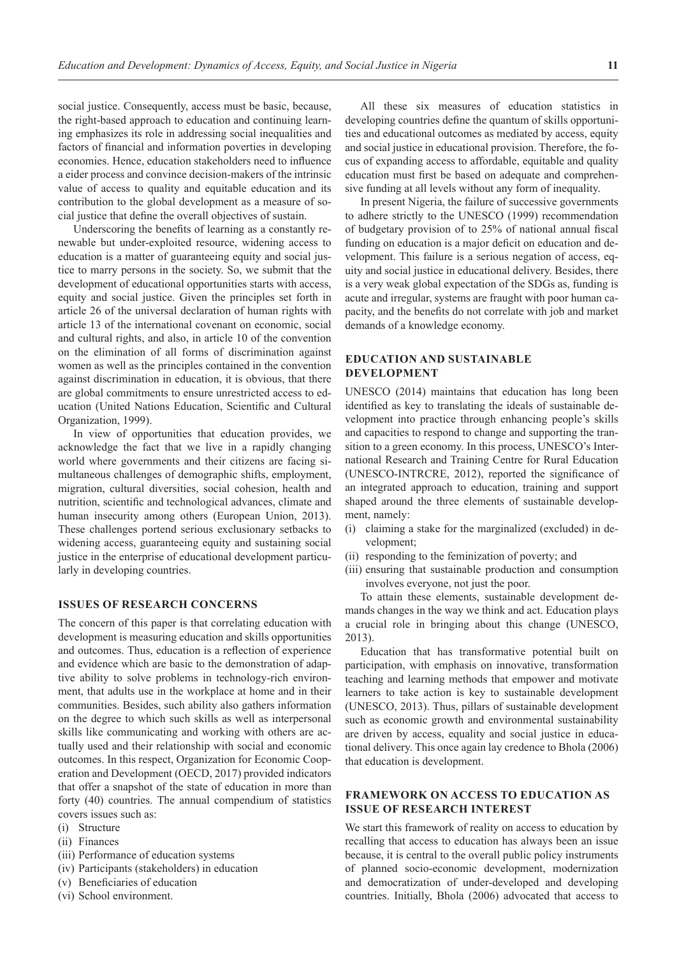social justice. Consequently, access must be basic, because, the right-based approach to education and continuing learning emphasizes its role in addressing social inequalities and factors of financial and information poverties in developing economies. Hence, education stakeholders need to influence a eider process and convince decision-makers of the intrinsic value of access to quality and equitable education and its contribution to the global development as a measure of social justice that define the overall objectives of sustain.

Underscoring the benefits of learning as a constantly renewable but under-exploited resource, widening access to education is a matter of guaranteeing equity and social justice to marry persons in the society. So, we submit that the development of educational opportunities starts with access, equity and social justice. Given the principles set forth in article 26 of the universal declaration of human rights with article 13 of the international covenant on economic, social and cultural rights, and also, in article 10 of the convention on the elimination of all forms of discrimination against women as well as the principles contained in the convention against discrimination in education, it is obvious, that there are global commitments to ensure unrestricted access to education (United Nations Education, Scientific and Cultural Organization, 1999).

In view of opportunities that education provides, we acknowledge the fact that we live in a rapidly changing world where governments and their citizens are facing simultaneous challenges of demographic shifts, employment, migration, cultural diversities, social cohesion, health and nutrition, scientific and technological advances, climate and human insecurity among others (European Union, 2013). These challenges portend serious exclusionary setbacks to widening access, guaranteeing equity and sustaining social justice in the enterprise of educational development particularly in developing countries.

## **ISSUES OF RESEARCH CONCERNS**

The concern of this paper is that correlating education with development is measuring education and skills opportunities and outcomes. Thus, education is a reflection of experience and evidence which are basic to the demonstration of adaptive ability to solve problems in technology-rich environment, that adults use in the workplace at home and in their communities. Besides, such ability also gathers information on the degree to which such skills as well as interpersonal skills like communicating and working with others are actually used and their relationship with social and economic outcomes. In this respect, Organization for Economic Cooperation and Development (OECD, 2017) provided indicators that offer a snapshot of the state of education in more than forty (40) countries. The annual compendium of statistics covers issues such as:

- (i) Structure
- (ii) Finances
- (iii) Performance of education systems
- (iv) Participants (stakeholders) in education
- (v) Beneficiaries of education
- (vi) School environment.

All these six measures of education statistics in developing countries define the quantum of skills opportunities and educational outcomes as mediated by access, equity and social justice in educational provision. Therefore, the focus of expanding access to affordable, equitable and quality education must first be based on adequate and comprehensive funding at all levels without any form of inequality.

In present Nigeria, the failure of successive governments to adhere strictly to the UNESCO (1999) recommendation of budgetary provision of to 25% of national annual fiscal funding on education is a major deficit on education and development. This failure is a serious negation of access, equity and social justice in educational delivery. Besides, there is a very weak global expectation of the SDGs as, funding is acute and irregular, systems are fraught with poor human capacity, and the benefits do not correlate with job and market demands of a knowledge economy.

## **EDUCATION AND SUSTAINABLE DEVELOPMENT**

UNESCO (2014) maintains that education has long been identified as key to translating the ideals of sustainable development into practice through enhancing people's skills and capacities to respond to change and supporting the transition to a green economy. In this process, UNESCO's International Research and Training Centre for Rural Education (UNESCO-INTRCRE, 2012), reported the significance of an integrated approach to education, training and support shaped around the three elements of sustainable development, namely:

- (i) claiming a stake for the marginalized (excluded) in development;
- (ii) responding to the feminization of poverty; and
- (iii) ensuring that sustainable production and consumption involves everyone, not just the poor.

To attain these elements, sustainable development demands changes in the way we think and act. Education plays a crucial role in bringing about this change (UNESCO, 2013).

Education that has transformative potential built on participation, with emphasis on innovative, transformation teaching and learning methods that empower and motivate learners to take action is key to sustainable development (UNESCO, 2013). Thus, pillars of sustainable development such as economic growth and environmental sustainability are driven by access, equality and social justice in educational delivery. This once again lay credence to Bhola (2006) that education is development.

## **FRAMEWORK ON ACCESS TO EDUCATION AS ISSUE OF RESEARCH INTEREST**

We start this framework of reality on access to education by recalling that access to education has always been an issue because, it is central to the overall public policy instruments of planned socio-economic development, modernization and democratization of under-developed and developing countries. Initially, Bhola (2006) advocated that access to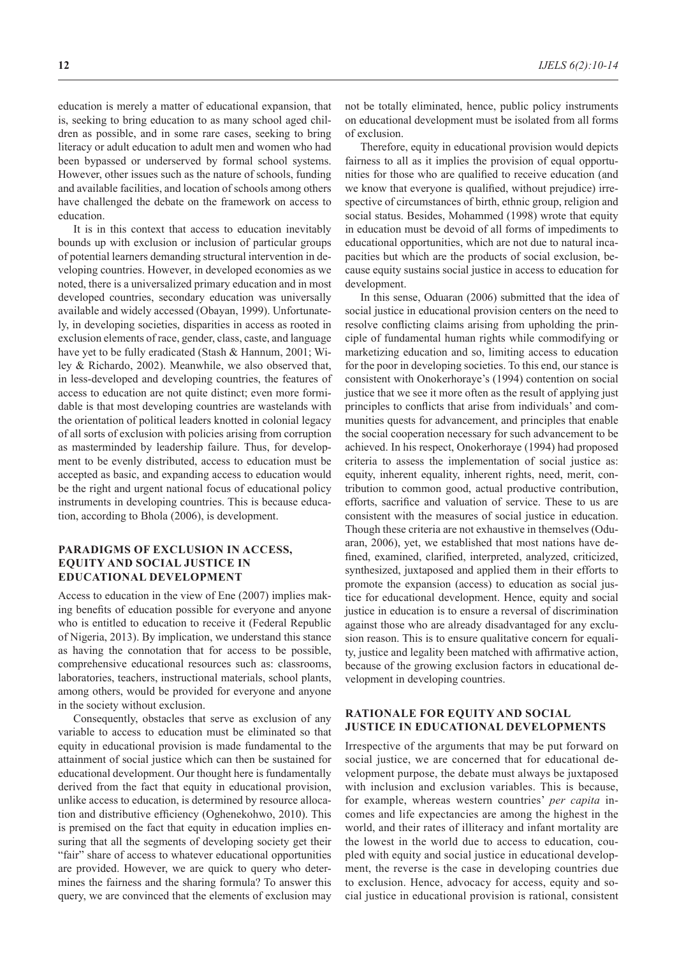education is merely a matter of educational expansion, that is, seeking to bring education to as many school aged children as possible, and in some rare cases, seeking to bring literacy or adult education to adult men and women who had been bypassed or underserved by formal school systems. However, other issues such as the nature of schools, funding and available facilities, and location of schools among others have challenged the debate on the framework on access to education.

It is in this context that access to education inevitably bounds up with exclusion or inclusion of particular groups of potential learners demanding structural intervention in developing countries. However, in developed economies as we noted, there is a universalized primary education and in most developed countries, secondary education was universally available and widely accessed (Obayan, 1999). Unfortunately, in developing societies, disparities in access as rooted in exclusion elements of race, gender, class, caste, and language have yet to be fully eradicated (Stash & Hannum, 2001; Wiley & Richardo, 2002). Meanwhile, we also observed that, in less-developed and developing countries, the features of access to education are not quite distinct; even more formidable is that most developing countries are wastelands with the orientation of political leaders knotted in colonial legacy of all sorts of exclusion with policies arising from corruption as masterminded by leadership failure. Thus, for development to be evenly distributed, access to education must be accepted as basic, and expanding access to education would be the right and urgent national focus of educational policy instruments in developing countries. This is because education, according to Bhola (2006), is development.

#### **PARADIGMS OF EXCLUSION IN ACCESS, EQUITY AND SOCIAL JUSTICE IN EDUCATIONAL DEVELOPMENT**

Access to education in the view of Ene (2007) implies making benefits of education possible for everyone and anyone who is entitled to education to receive it (Federal Republic of Nigeria, 2013). By implication, we understand this stance as having the connotation that for access to be possible, comprehensive educational resources such as: classrooms, laboratories, teachers, instructional materials, school plants, among others, would be provided for everyone and anyone in the society without exclusion.

Consequently, obstacles that serve as exclusion of any variable to access to education must be eliminated so that equity in educational provision is made fundamental to the attainment of social justice which can then be sustained for educational development. Our thought here is fundamentally derived from the fact that equity in educational provision, unlike access to education, is determined by resource allocation and distributive efficiency (Oghenekohwo, 2010). This is premised on the fact that equity in education implies ensuring that all the segments of developing society get their "fair" share of access to whatever educational opportunities are provided. However, we are quick to query who determines the fairness and the sharing formula? To answer this query, we are convinced that the elements of exclusion may

not be totally eliminated, hence, public policy instruments on educational development must be isolated from all forms of exclusion.

Therefore, equity in educational provision would depicts fairness to all as it implies the provision of equal opportunities for those who are qualified to receive education (and we know that everyone is qualified, without prejudice) irrespective of circumstances of birth, ethnic group, religion and social status. Besides, Mohammed (1998) wrote that equity in education must be devoid of all forms of impediments to educational opportunities, which are not due to natural incapacities but which are the products of social exclusion, because equity sustains social justice in access to education for development.

In this sense, Oduaran (2006) submitted that the idea of social justice in educational provision centers on the need to resolve conflicting claims arising from upholding the principle of fundamental human rights while commodifying or marketizing education and so, limiting access to education for the poor in developing societies. To this end, our stance is consistent with Onokerhoraye's (1994) contention on social justice that we see it more often as the result of applying just principles to conflicts that arise from individuals' and communities quests for advancement, and principles that enable the social cooperation necessary for such advancement to be achieved. In his respect, Onokerhoraye (1994) had proposed criteria to assess the implementation of social justice as: equity, inherent equality, inherent rights, need, merit, contribution to common good, actual productive contribution, efforts, sacrifice and valuation of service. These to us are consistent with the measures of social justice in education. Though these criteria are not exhaustive in themselves (Oduaran, 2006), yet, we established that most nations have defined, examined, clarified, interpreted, analyzed, criticized, synthesized, juxtaposed and applied them in their efforts to promote the expansion (access) to education as social justice for educational development. Hence, equity and social justice in education is to ensure a reversal of discrimination against those who are already disadvantaged for any exclusion reason. This is to ensure qualitative concern for equality, justice and legality been matched with affirmative action, because of the growing exclusion factors in educational development in developing countries.

## **RATIONALE FOR EQUITY AND SOCIAL JUSTICE IN EDUCATIONAL DEVELOPMENTS**

Irrespective of the arguments that may be put forward on social justice, we are concerned that for educational development purpose, the debate must always be juxtaposed with inclusion and exclusion variables. This is because, for example, whereas western countries' *per capita* incomes and life expectancies are among the highest in the world, and their rates of illiteracy and infant mortality are the lowest in the world due to access to education, coupled with equity and social justice in educational development, the reverse is the case in developing countries due to exclusion. Hence, advocacy for access, equity and social justice in educational provision is rational, consistent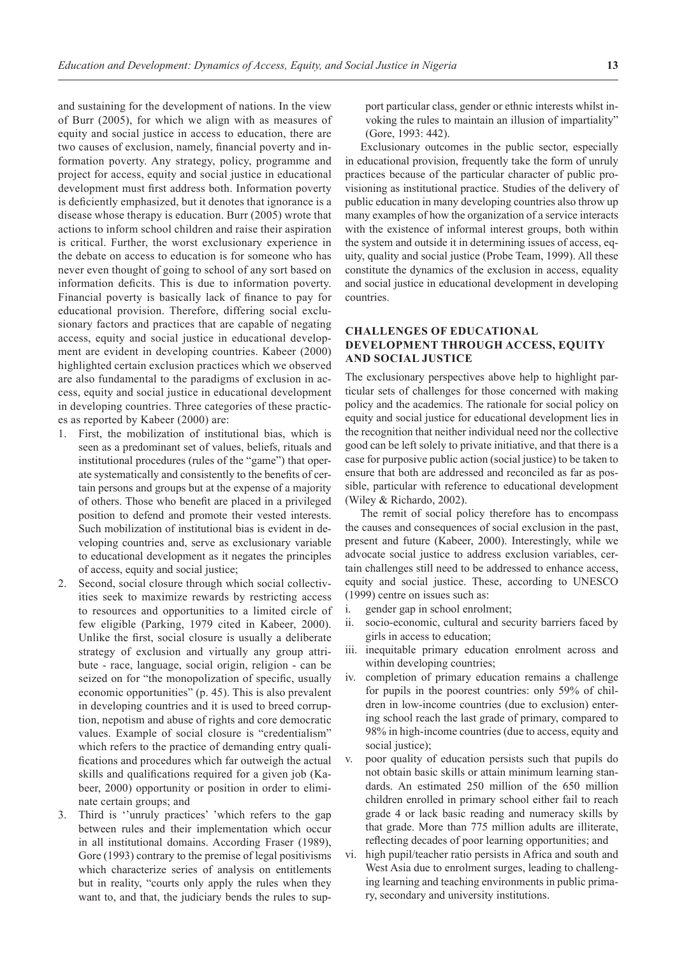and sustaining for the development of nations. In the view of Burr (2005), for which we align with as measures of equity and social justice in access to education, there are two causes of exclusion, namely, financial poverty and information poverty. Any strategy, policy, programme and project for access, equity and social justice in educational development must first address both. Information poverty is deficiently emphasized, but it denotes that ignorance is a disease whose therapy is education. Burr (2005) wrote that actions to inform school children and raise their aspiration is critical. Further, the worst exclusionary experience in the debate on access to education is for someone who has never even thought of going to school of any sort based on information deficits. This is due to information poverty. Financial poverty is basically lack of finance to pay for educational provision. Therefore, differing social exclusionary factors and practices that are capable of negating access, equity and social justice in educational development are evident in developing countries. Kabeer (2000) highlighted certain exclusion practices which we observed are also fundamental to the paradigms of exclusion in access, equity and social justice in educational development in developing countries. Three categories of these practices as reported by Kabeer (2000) are:

- 1. First, the mobilization of institutional bias, which is seen as a predominant set of values, beliefs, rituals and institutional procedures (rules of the "game") that operate systematically and consistently to the benefits of certain persons and groups but at the expense of a majority of others. Those who benefit are placed in a privileged position to defend and promote their vested interests. Such mobilization of institutional bias is evident in developing countries and, serve as exclusionary variable to educational development as it negates the principles of access, equity and social justice;
- 2. Second, social closure through which social collectivities seek to maximize rewards by restricting access to resources and opportunities to a limited circle of few eligible (Parking, 1979 cited in Kabeer, 2000). Unlike the first, social closure is usually a deliberate strategy of exclusion and virtually any group attribute - race, language, social origin, religion - can be seized on for "the monopolization of specific, usually economic opportunities" (p. 45). This is also prevalent in developing countries and it is used to breed corruption, nepotism and abuse of rights and core democratic values. Example of social closure is "credentialism" which refers to the practice of demanding entry qualifications and procedures which far outweigh the actual skills and qualifications required for a given job (Kabeer, 2000) opportunity or position in order to eliminate certain groups; and
- 3. Third is ''unruly practices' 'which refers to the gap between rules and their implementation which occur in all institutional domains. According Fraser (1989), Gore (1993) contrary to the premise of legal positivisms which characterize series of analysis on entitlements but in reality, "courts only apply the rules when they want to, and that, the judiciary bends the rules to sup-

port particular class, gender or ethnic interests whilst invoking the rules to maintain an illusion of impartiality" (Gore, 1993: 442).

Exclusionary outcomes in the public sector, especially in educational provision, frequently take the form of unruly practices because of the particular character of public provisioning as institutional practice. Studies of the delivery of public education in many developing countries also throw up many examples of how the organization of a service interacts with the existence of informal interest groups, both within the system and outside it in determining issues of access, equity, quality and social justice (Probe Team, 1999). All these constitute the dynamics of the exclusion in access, equality and social justice in educational development in developing countries.

## **CHALLENGES OF EDUCATIONAL DEVELOPMENT THROUGH ACCESS, EQUITY AND SOCIAL JUSTICE**

The exclusionary perspectives above help to highlight particular sets of challenges for those concerned with making policy and the academics. The rationale for social policy on equity and social justice for educational development lies in the recognition that neither individual need nor the collective good can be left solely to private initiative, and that there is a case for purposive public action (social justice) to be taken to ensure that both are addressed and reconciled as far as possible, particular with reference to educational development (Wiley & Richardo, 2002).

The remit of social policy therefore has to encompass the causes and consequences of social exclusion in the past, present and future (Kabeer, 2000). Interestingly, while we advocate social justice to address exclusion variables, certain challenges still need to be addressed to enhance access, equity and social justice. These, according to UNESCO (1999) centre on issues such as:

- i. gender gap in school enrolment;
- ii. socio-economic, cultural and security barriers faced by girls in access to education;
- iii. inequitable primary education enrolment across and within developing countries;
- iv. completion of primary education remains a challenge for pupils in the poorest countries: only 59% of children in low-income countries (due to exclusion) entering school reach the last grade of primary, compared to 98% in high-income countries (due to access, equity and social justice);
- v. poor quality of education persists such that pupils do not obtain basic skills or attain minimum learning standards. An estimated 250 million of the 650 million children enrolled in primary school either fail to reach grade 4 or lack basic reading and numeracy skills by that grade. More than 775 million adults are illiterate, reflecting decades of poor learning opportunities; and
- vi. high pupil/teacher ratio persists in Africa and south and West Asia due to enrolment surges, leading to challenging learning and teaching environments in public primary, secondary and university institutions.